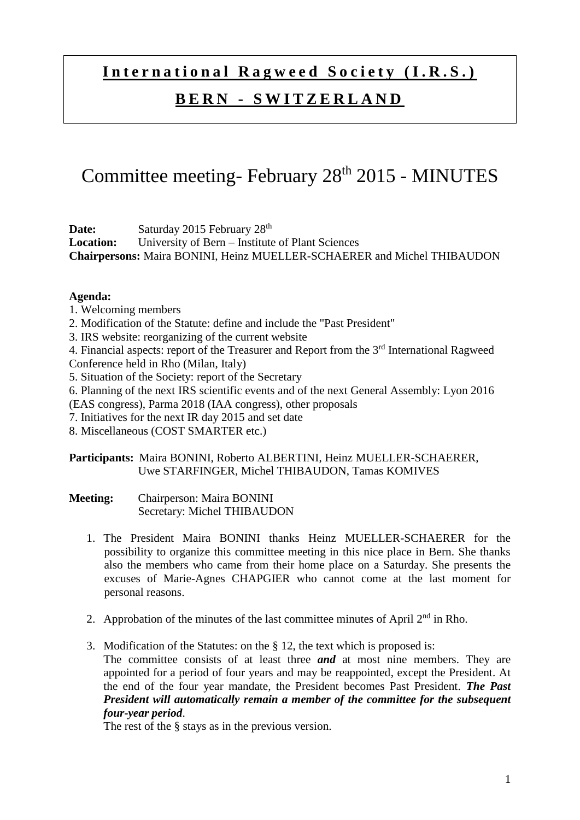## **International Ragweed Society (I.R.S.)**

## **B E R N - S W I T Z E R L A N D**

# Committee meeting- February 28<sup>th</sup> 2015 - MINUTES

Date: Saturday 2015 February 28<sup>th</sup>

**Location:** University of Bern – Institute of Plant Sciences **Chairpersons:** Maira BONINI, Heinz MUELLER-SCHAERER and Michel THIBAUDON

#### **Agenda:**

- 1. Welcoming members
- 2. Modification of the Statute: define and include the "Past President"
- 3. IRS website: reorganizing of the current website

4. Financial aspects: report of the Treasurer and Report from the 3rd International Ragweed Conference held in Rho (Milan, Italy)

- 5. Situation of the Society: report of the Secretary
- 6. Planning of the next IRS scientific events and of the next General Assembly: Lyon 2016

(EAS congress), Parma 2018 (IAA congress), other proposals

- 7. Initiatives for the next IR day 2015 and set date
- 8. Miscellaneous (COST SMARTER etc.)

### **Participants:** Maira BONINI, Roberto ALBERTINI, Heinz MUELLER-SCHAERER, Uwe STARFINGER, Michel THIBAUDON, Tamas KOMIVES

**Meeting:** Chairperson: Maira BONINI Secretary: Michel THIBAUDON

- 1. The President Maira BONINI thanks Heinz MUELLER-SCHAERER for the possibility to organize this committee meeting in this nice place in Bern. She thanks also the members who came from their home place on a Saturday. She presents the excuses of Marie-Agnes CHAPGIER who cannot come at the last moment for personal reasons.
- 2. Approbation of the minutes of the last committee minutes of April  $2<sup>nd</sup>$  in Rho.
- 3. Modification of the Statutes: on the § 12, the text which is proposed is: The committee consists of at least three *and* at most nine members. They are appointed for a period of four years and may be reappointed, except the President. At the end of the four year mandate, the President becomes Past President. *The Past President will automatically remain a member of the committee for the subsequent four-year period*.

The rest of the § stays as in the previous version.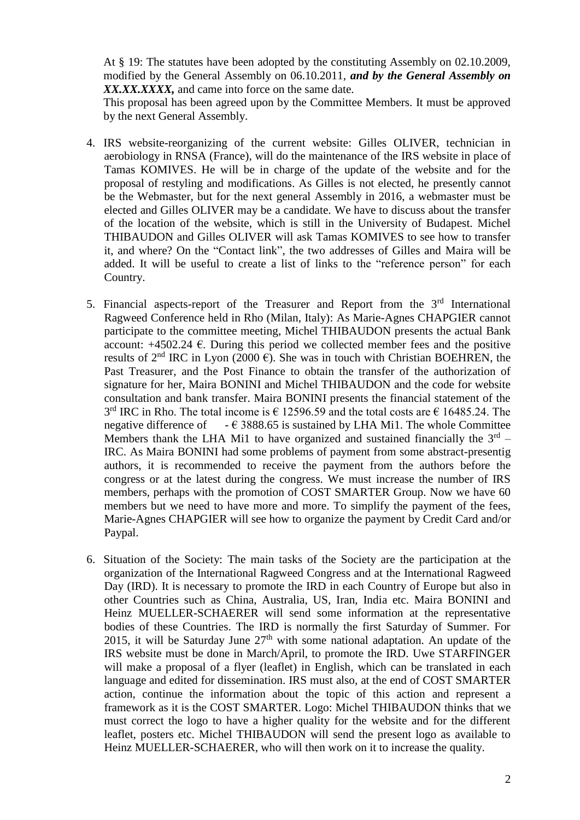At § 19: The statutes have been adopted by the constituting Assembly on 02.10.2009, modified by the General Assembly on 06.10.2011, *and by the General Assembly on XX.XX.XXXX,* and came into force on the same date.

This proposal has been agreed upon by the Committee Members. It must be approved by the next General Assembly.

- 4. IRS website-reorganizing of the current website: Gilles OLIVER, technician in aerobiology in RNSA (France), will do the maintenance of the IRS website in place of Tamas KOMIVES. He will be in charge of the update of the website and for the proposal of restyling and modifications. As Gilles is not elected, he presently cannot be the Webmaster, but for the next general Assembly in 2016, a webmaster must be elected and Gilles OLIVER may be a candidate. We have to discuss about the transfer of the location of the website, which is still in the University of Budapest. Michel THIBAUDON and Gilles OLIVER will ask Tamas KOMIVES to see how to transfer it, and where? On the "Contact link", the two addresses of Gilles and Maira will be added. It will be useful to create a list of links to the "reference person" for each Country.
- 5. Financial aspects-report of the Treasurer and Report from the  $3<sup>rd</sup>$  International Ragweed Conference held in Rho (Milan, Italy): As Marie-Agnes CHAPGIER cannot participate to the committee meeting, Michel THIBAUDON presents the actual Bank account:  $+4502.24 \text{ }\epsilon$ . During this period we collected member fees and the positive results of  $2<sup>nd</sup>$  IRC in Lyon (2000  $\epsilon$ ). She was in touch with Christian BOEHREN, the Past Treasurer, and the Post Finance to obtain the transfer of the authorization of signature for her, Maira BONINI and Michel THIBAUDON and the code for website consultation and bank transfer. Maira BONINI presents the financial statement of the  $3<sup>rd</sup>$  IRC in Rho. The total income is  $\epsilon$  12596.59 and the total costs are  $\epsilon$  16485.24. The negative difference of  $-\epsilon$  3888.65 is sustained by LHA Mi1. The whole Committee Members thank the LHA Mi1 to have organized and sustained financially the  $3<sup>rd</sup>$  – IRC. As Maira BONINI had some problems of payment from some abstract-presentig authors, it is recommended to receive the payment from the authors before the congress or at the latest during the congress. We must increase the number of IRS members, perhaps with the promotion of COST SMARTER Group. Now we have 60 members but we need to have more and more. To simplify the payment of the fees, Marie-Agnes CHAPGIER will see how to organize the payment by Credit Card and/or Paypal.
- 6. Situation of the Society: The main tasks of the Society are the participation at the organization of the International Ragweed Congress and at the International Ragweed Day (IRD). It is necessary to promote the IRD in each Country of Europe but also in other Countries such as China, Australia, US, Iran, India etc. Maira BONINI and Heinz MUELLER-SCHAERER will send some information at the representative bodies of these Countries. The IRD is normally the first Saturday of Summer. For 2015, it will be Saturday June  $27<sup>th</sup>$  with some national adaptation. An update of the IRS website must be done in March/April, to promote the IRD. Uwe STARFINGER will make a proposal of a flyer (leaflet) in English, which can be translated in each language and edited for dissemination. IRS must also, at the end of COST SMARTER action, continue the information about the topic of this action and represent a framework as it is the COST SMARTER. Logo: Michel THIBAUDON thinks that we must correct the logo to have a higher quality for the website and for the different leaflet, posters etc. Michel THIBAUDON will send the present logo as available to Heinz MUELLER-SCHAERER, who will then work on it to increase the quality.